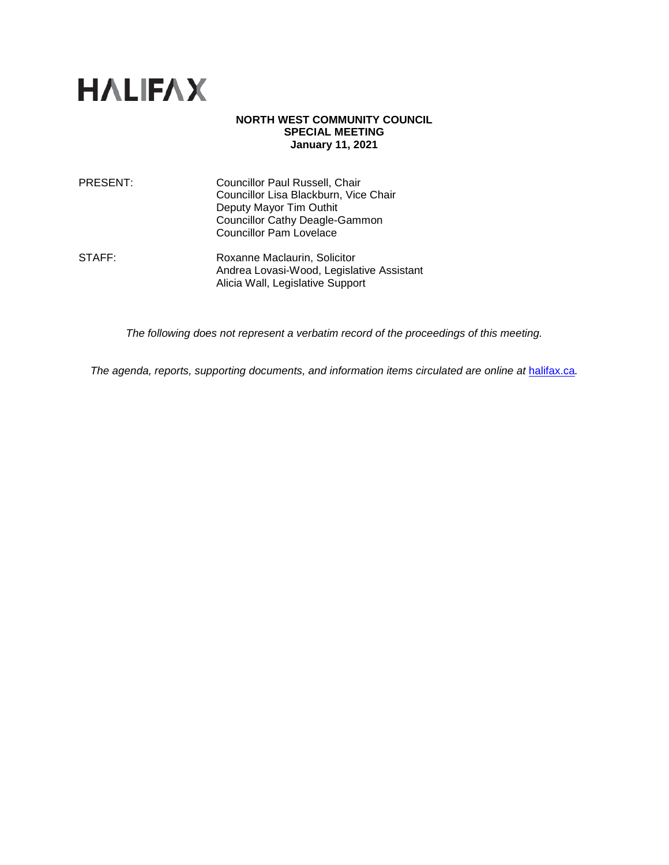

### **NORTH WEST COMMUNITY COUNCIL SPECIAL MEETING January 11, 2021**

| PRESENT: | Councillor Paul Russell, Chair        |
|----------|---------------------------------------|
|          | Councillor Lisa Blackburn, Vice Chair |
|          | Deputy Mayor Tim Outhit               |
|          | <b>Councillor Cathy Deagle-Gammon</b> |
|          | <b>Councillor Pam Lovelace</b>        |
|          |                                       |

STAFF: Roxanne Maclaurin, Solicitor Andrea Lovasi-Wood, Legislative Assistant Alicia Wall, Legislative Support

*The following does not represent a verbatim record of the proceedings of this meeting.*

*The agenda, reports, supporting documents, and information items circulated are online at [halifax.ca](http://www.halifax.ca/).*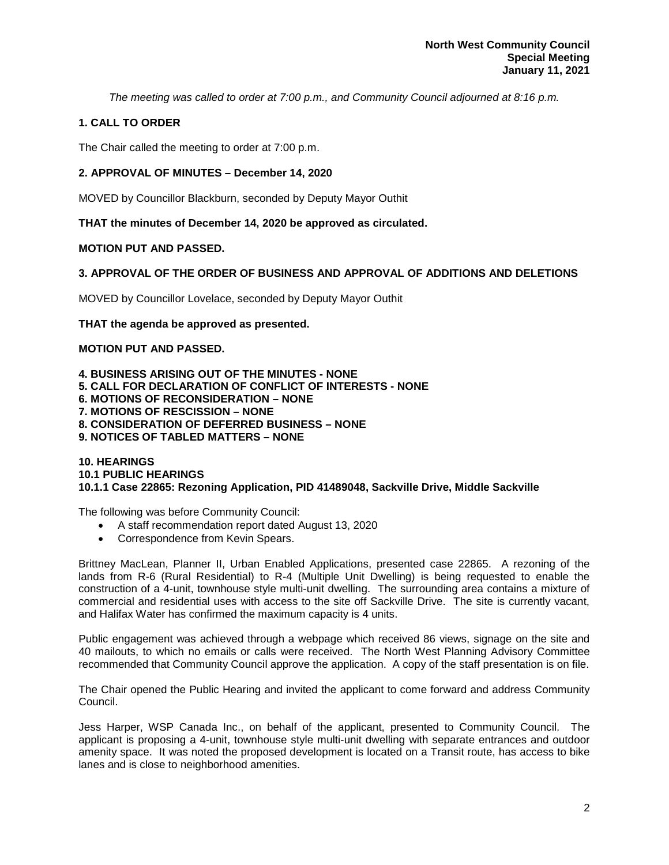*The meeting was called to order at 7:00 p.m., and Community Council adjourned at 8:16 p.m.*

# **1. CALL TO ORDER**

The Chair called the meeting to order at 7:00 p.m.

# **2. APPROVAL OF MINUTES – December 14, 2020**

MOVED by Councillor Blackburn, seconded by Deputy Mayor Outhit

**THAT the minutes of December 14, 2020 be approved as circulated.**

## **MOTION PUT AND PASSED.**

## **3. APPROVAL OF THE ORDER OF BUSINESS AND APPROVAL OF ADDITIONS AND DELETIONS**

MOVED by Councillor Lovelace, seconded by Deputy Mayor Outhit

**THAT the agenda be approved as presented.** 

## **MOTION PUT AND PASSED.**

**4. BUSINESS ARISING OUT OF THE MINUTES - NONE 5. CALL FOR DECLARATION OF CONFLICT OF INTERESTS - NONE 6. MOTIONS OF RECONSIDERATION – NONE 7. MOTIONS OF RESCISSION – NONE 8. CONSIDERATION OF DEFERRED BUSINESS – NONE 9. NOTICES OF TABLED MATTERS – NONE**

#### **10. HEARINGS 10.1 PUBLIC HEARINGS 10.1.1 Case 22865: Rezoning Application, PID 41489048, Sackville Drive, Middle Sackville**

The following was before Community Council:

- A staff recommendation report dated August 13, 2020
- Correspondence from Kevin Spears.

Brittney MacLean, Planner II, Urban Enabled Applications, presented case 22865. A rezoning of the lands from R-6 (Rural Residential) to R-4 (Multiple Unit Dwelling) is being requested to enable the construction of a 4-unit, townhouse style multi-unit dwelling. The surrounding area contains a mixture of commercial and residential uses with access to the site off Sackville Drive. The site is currently vacant, and Halifax Water has confirmed the maximum capacity is 4 units.

Public engagement was achieved through a webpage which received 86 views, signage on the site and 40 mailouts, to which no emails or calls were received. The North West Planning Advisory Committee recommended that Community Council approve the application. A copy of the staff presentation is on file.

The Chair opened the Public Hearing and invited the applicant to come forward and address Community Council.

Jess Harper, WSP Canada Inc., on behalf of the applicant, presented to Community Council. The applicant is proposing a 4-unit, townhouse style multi-unit dwelling with separate entrances and outdoor amenity space. It was noted the proposed development is located on a Transit route, has access to bike lanes and is close to neighborhood amenities.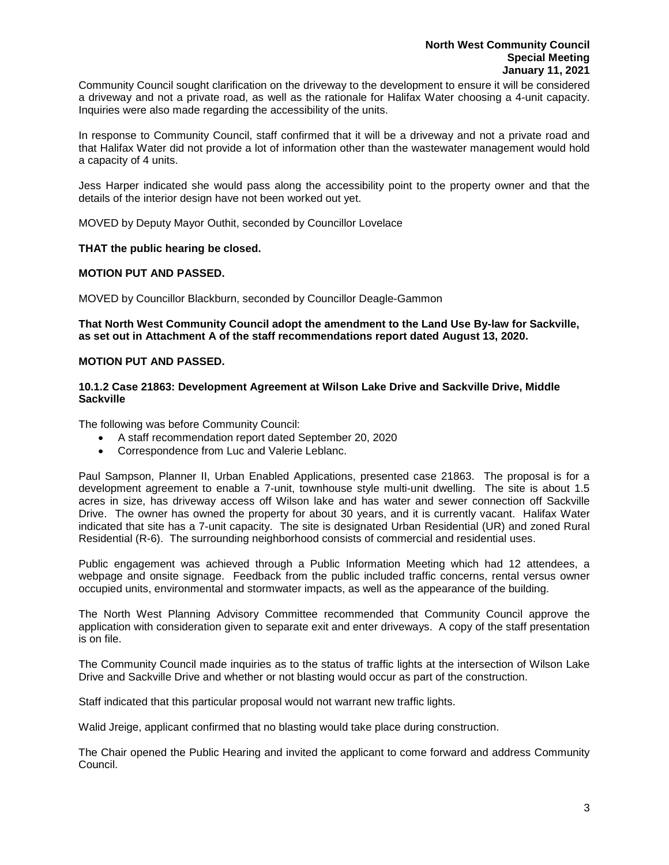Community Council sought clarification on the driveway to the development to ensure it will be considered a driveway and not a private road, as well as the rationale for Halifax Water choosing a 4-unit capacity. Inquiries were also made regarding the accessibility of the units.

In response to Community Council, staff confirmed that it will be a driveway and not a private road and that Halifax Water did not provide a lot of information other than the wastewater management would hold a capacity of 4 units.

Jess Harper indicated she would pass along the accessibility point to the property owner and that the details of the interior design have not been worked out yet.

MOVED by Deputy Mayor Outhit, seconded by Councillor Lovelace

### **THAT the public hearing be closed.**

## **MOTION PUT AND PASSED.**

MOVED by Councillor Blackburn, seconded by Councillor Deagle-Gammon

**That North West Community Council adopt the amendment to the Land Use By-law for Sackville, as set out in Attachment A of the staff recommendations report dated August 13, 2020.**

### **MOTION PUT AND PASSED.**

#### **10.1.2 Case 21863: Development Agreement at Wilson Lake Drive and Sackville Drive, Middle Sackville**

The following was before Community Council:

- A staff recommendation report dated September 20, 2020
- Correspondence from Luc and Valerie Leblanc.

Paul Sampson, Planner II, Urban Enabled Applications, presented case 21863. The proposal is for a development agreement to enable a 7-unit, townhouse style multi-unit dwelling. The site is about 1.5 acres in size, has driveway access off Wilson lake and has water and sewer connection off Sackville Drive. The owner has owned the property for about 30 years, and it is currently vacant. Halifax Water indicated that site has a 7-unit capacity. The site is designated Urban Residential (UR) and zoned Rural Residential (R-6). The surrounding neighborhood consists of commercial and residential uses.

Public engagement was achieved through a Public Information Meeting which had 12 attendees, a webpage and onsite signage. Feedback from the public included traffic concerns, rental versus owner occupied units, environmental and stormwater impacts, as well as the appearance of the building.

The North West Planning Advisory Committee recommended that Community Council approve the application with consideration given to separate exit and enter driveways. A copy of the staff presentation is on file.

The Community Council made inquiries as to the status of traffic lights at the intersection of Wilson Lake Drive and Sackville Drive and whether or not blasting would occur as part of the construction.

Staff indicated that this particular proposal would not warrant new traffic lights.

Walid Jreige, applicant confirmed that no blasting would take place during construction.

The Chair opened the Public Hearing and invited the applicant to come forward and address Community Council.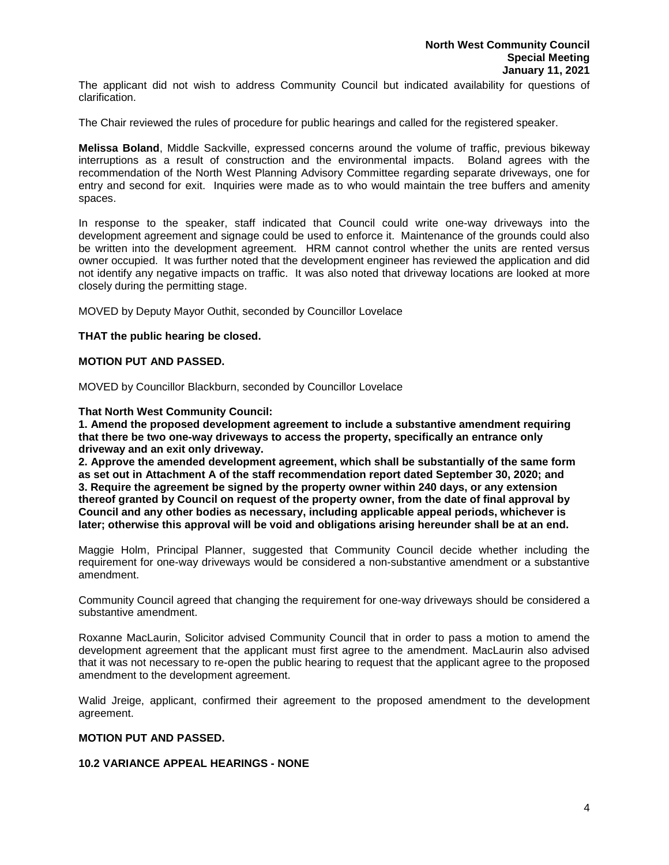The applicant did not wish to address Community Council but indicated availability for questions of clarification.

The Chair reviewed the rules of procedure for public hearings and called for the registered speaker.

**Melissa Boland**, Middle Sackville, expressed concerns around the volume of traffic, previous bikeway interruptions as a result of construction and the environmental impacts. Boland agrees with the recommendation of the North West Planning Advisory Committee regarding separate driveways, one for entry and second for exit. Inquiries were made as to who would maintain the tree buffers and amenity spaces.

In response to the speaker, staff indicated that Council could write one-way driveways into the development agreement and signage could be used to enforce it. Maintenance of the grounds could also be written into the development agreement. HRM cannot control whether the units are rented versus owner occupied. It was further noted that the development engineer has reviewed the application and did not identify any negative impacts on traffic. It was also noted that driveway locations are looked at more closely during the permitting stage.

MOVED by Deputy Mayor Outhit, seconded by Councillor Lovelace

#### **THAT the public hearing be closed.**

### **MOTION PUT AND PASSED.**

MOVED by Councillor Blackburn, seconded by Councillor Lovelace

**That North West Community Council:**

**1. Amend the proposed development agreement to include a substantive amendment requiring that there be two one-way driveways to access the property, specifically an entrance only driveway and an exit only driveway.**

**2. Approve the amended development agreement, which shall be substantially of the same form as set out in Attachment A of the staff recommendation report dated September 30, 2020; and 3. Require the agreement be signed by the property owner within 240 days, or any extension thereof granted by Council on request of the property owner, from the date of final approval by Council and any other bodies as necessary, including applicable appeal periods, whichever is later; otherwise this approval will be void and obligations arising hereunder shall be at an end.**

Maggie Holm, Principal Planner, suggested that Community Council decide whether including the requirement for one-way driveways would be considered a non-substantive amendment or a substantive amendment.

Community Council agreed that changing the requirement for one-way driveways should be considered a substantive amendment.

Roxanne MacLaurin, Solicitor advised Community Council that in order to pass a motion to amend the development agreement that the applicant must first agree to the amendment. MacLaurin also advised that it was not necessary to re-open the public hearing to request that the applicant agree to the proposed amendment to the development agreement.

Walid Jreige, applicant, confirmed their agreement to the proposed amendment to the development agreement.

## **MOTION PUT AND PASSED.**

## **10.2 VARIANCE APPEAL HEARINGS - NONE**